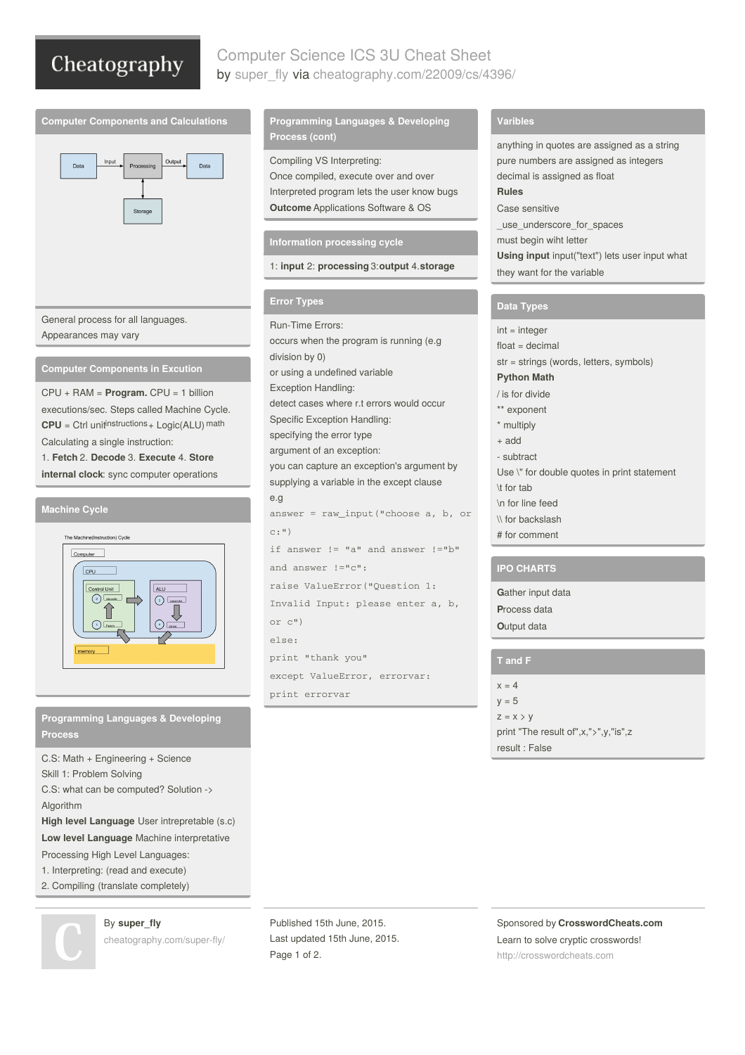# Cheatography

# Computer Science ICS 3U Cheat Sheet by [super\\_fly](http://www.cheatography.com/super-fly/) via [cheatography.com/22009/cs/4396/](http://www.cheatography.com/super-fly/cheat-sheets/computer-science-ics-3u)





General process for all languages. Appearances may vary

**Computer Components in Excution**

CPU + RAM = **Program.** CPU = 1 billion executions/sec. Steps called Machine Cycle.  $CPU = Crit$  unit<sup>instructions  $+$  Logic(ALU) math</sup> Calculating a single instruction:

1. **Fetch** 2. **Decode** 3. **Execute** 4. **Store internal clock**: sync computer operations

#### **Machine Cycle**



**Programming Languages & Developing Process**

C.S: Math + Engineering + Science Skill 1: Problem Solving C.S: what can be computed? Solution -> Algorithm

**High level Language** User intrepretable (s.c)

**Low level Language** Machine interpretative

- Processing High Level Languages:
- 1. Interpreting: (read and execute)
- 2. Compiling (translate completely)



By **super\_fly** [cheatography.com/super-fly/](http://www.cheatography.com/super-fly/)

## **Programming Languages & Developing Process (cont)**

Compiling VS Interpreting: Once compiled, execute over and over Interpreted program lets the user know bugs **Outcome** Applications Software & OS

#### **Information processing cycle**

1: **input** 2: **processing** 3:**output** 4.**storage**

#### **Error Types**

Run-Time Errors: occurs when the program is running (e.g division by 0) or using a undefined variable Exception Handling: detect cases where r.t errors would occur Specific Exception Handling: specifying the error type argument of an exception: you can capture an exception's argument by supplying a variable in the except clause e.g answer = raw\_input("choose a, b, or  $c: "$ ) if answer != "a" and answer !="b" and answer !="c": raise ValueError("Question 1: Invalid Input: please enter a, b, or c") else: print "thank you" except ValueError, errorvar: print errorvar

## **Varibles**

anything in quotes are assigned as a string pure numbers are assigned as integers decimal is assigned as float **Rules** Case sensitive \_use\_underscore\_for\_spaces must begin wiht letter **Using input** input("text") lets user input what they want for the variable

## **Data Types**

 $int =$ integer  $float = decimal$ str = strings (words, letters, symbols) **Python Math** / is for divide \*\* exponent \* multiply + add - subtract Use \" for double quotes in print statement \t for tab \n for line feed \\ for backslash # for comment

### **IPO CHARTS**

**G**ather input data **P**rocess data **O**utput data

## **T and F**

 $x = 4$  $y = 5$  $z = x > y$ print "The result of",x,">",y,"is",z result : False

Published 15th June, 2015. Last updated 15th June, 2015. Page 1 of 2.

Sponsored by **CrosswordCheats.com** Learn to solve cryptic crosswords! <http://crosswordcheats.com>